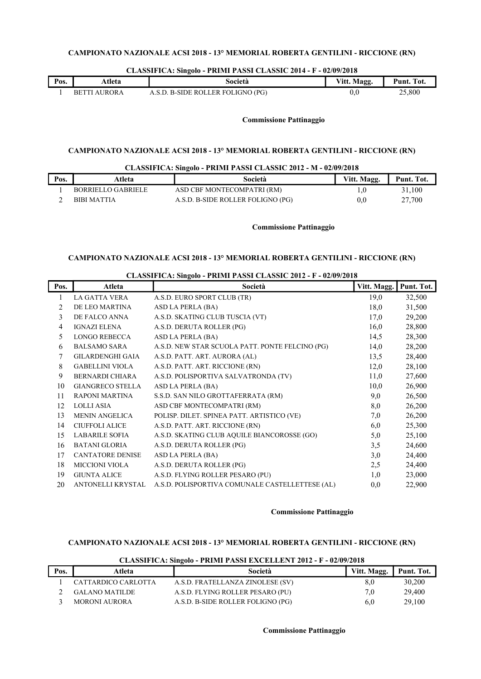|      |                 | . .                          |             |               |
|------|-----------------|------------------------------|-------------|---------------|
| Pos. | Atleta          | Società                      | Vitt. Magg. | Punt.<br>Tot. |
|      | AUROR A<br>RETT | . B-SIDE ROLLER FOLIGNO (PG) | 0.U         | 25,800        |

#### CLASSIFICA: Singolo - PRIMI PASSI CLASSIC 2014 - F - 02/09/2018

## Commissione Pattinaggio

# CAMPIONATO NAZIONALE ACSI 2018 - 13° MEMORIAL ROBERTA GENTILINI - RICCIONE (RN)

## CLASSIFICA: Singolo - PRIMI PASSI CLASSIC 2012 - M - 02/09/2018

| Pos. | Atleta             | Società                           | Vitt. Magg. | Punt. Tot. |
|------|--------------------|-----------------------------------|-------------|------------|
|      | BORRIELLO GABRIELE | ASD CBF MONTECOMPATRI (RM)        |             | 31.100     |
|      | <b>BIBI MATTIA</b> | A.S.D. B-SIDE ROLLER FOLIGNO (PG) | 0, 0        | 27,700     |

#### Commissione Pattinaggio

## CAMPIONATO NAZIONALE ACSI 2018 - 13° MEMORIAL ROBERTA GENTILINI - RICCIONE (RN)

| Pos.           | Atleta                  | Società                                         | Vitt. Magg. | Punt. Tot. |
|----------------|-------------------------|-------------------------------------------------|-------------|------------|
|                | <b>LA GATTA VERA</b>    | A.S.D. EURO SPORT CLUB (TR)                     | 19,0        | 32,500     |
| $\mathfrak{D}$ | DE LEO MARTINA          | ASD LA PERLA (BA)                               | 18,0        | 31,500     |
| 3              | DE FALCO ANNA           | A.S.D. SKATING CLUB TUSCIA (VT)                 | 17,0        | 29,200     |
| 4              | <b>IGNAZI ELENA</b>     | A.S.D. DERUTA ROLLER (PG)                       | 16,0        | 28,800     |
| 5              | <b>LONGO REBECCA</b>    | ASD LA PERLA (BA)                               | 14,5        | 28,300     |
| 6              | <b>BALSAMO SARA</b>     | A.S.D. NEW STAR SCUOLA PATT. PONTE FELCINO (PG) | 14,0        | 28,200     |
| 7              | <b>GILARDENGHI GAIA</b> | A.S.D. PATT. ART. AURORA (AL)                   | 13,5        | 28,400     |
| 8              | <b>GABELLINI VIOLA</b>  | A.S.D. PATT. ART. RICCIONE (RN)                 | 12,0        | 28,100     |
| 9              | <b>BERNARDI CHIARA</b>  | A.S.D. POLISPORTIVA SALVATRONDA (TV)            | 11,0        | 27,600     |
| 10             | <b>GIANGRECO STELLA</b> | ASD LA PERLA (BA)                               | 10,0        | 26,900     |
| 11             | RAPONI MARTINA          | S.S.D. SAN NILO GROTTAFERRATA (RM)              | 9,0         | 26,500     |
| 12             | <b>LOLLI ASIA</b>       | ASD CBF MONTECOMPATRI (RM)                      | 8,0         | 26,200     |
| 13             | <b>MENIN ANGELICA</b>   | POLISP. DILET. SPINEA PATT. ARTISTICO (VE)      | 7,0         | 26,200     |
| 14             | <b>CIUFFOLI ALICE</b>   | A.S.D. PATT. ART. RICCIONE (RN)                 | 6,0         | 25,300     |
| 15             | <b>LABARILE SOFIA</b>   | A.S.D. SKATING CLUB AQUILE BIANCOROSSE (GO)     | 5,0         | 25,100     |
| 16             | <b>BATANI GLORIA</b>    | A.S.D. DERUTA ROLLER (PG)                       | 3,5         | 24,600     |
| 17             | CANTATORE DENISE        | ASD LA PERLA (BA)                               | 3,0         | 24,400     |
| 18             | <b>MICCIONI VIOLA</b>   | A.S.D. DERUTA ROLLER (PG)                       | 2,5         | 24,400     |
| 19             | <b>GIUNTA ALICE</b>     | A.S.D. FLYING ROLLER PESARO (PU)                | 1,0         | 23,000     |
| 20             | ANTONELLI KRYSTAL       | A.S.D. POLISPORTIVA COMUNALE CASTELLETTESE (AL) | 0,0         | 22,900     |

#### CLASSIFICA: Singolo - PRIMI PASSI CLASSIC 2012 - F - 02/09/2018

## Commissione Pattinaggio

#### CAMPIONATO NAZIONALE ACSI 2018 - 13° MEMORIAL ROBERTA GENTILINI - RICCIONE (RN)

|      | CLASSIFICA: Singolo - PRIMI PASSI EXCELLENT 2012 - F - 02/09/2018 |                                   |             |            |  |
|------|-------------------------------------------------------------------|-----------------------------------|-------------|------------|--|
| Pos. | Atleta                                                            | Società                           | Vitt. Magg. | Punt. Tot. |  |
|      | CATTARDICO CARLOTTA                                               | A.S.D. FRATELLANZA ZINOLESE (SV)  | 8,0         | 30,200     |  |
|      | <b>GALANO MATILDE</b>                                             | A.S.D. FLYING ROLLER PESARO (PU)  | 7.0         | 29,400     |  |
|      | <b>MORONI AURORA</b>                                              | A.S.D. B-SIDE ROLLER FOLIGNO (PG) | 6,0         | 29,100     |  |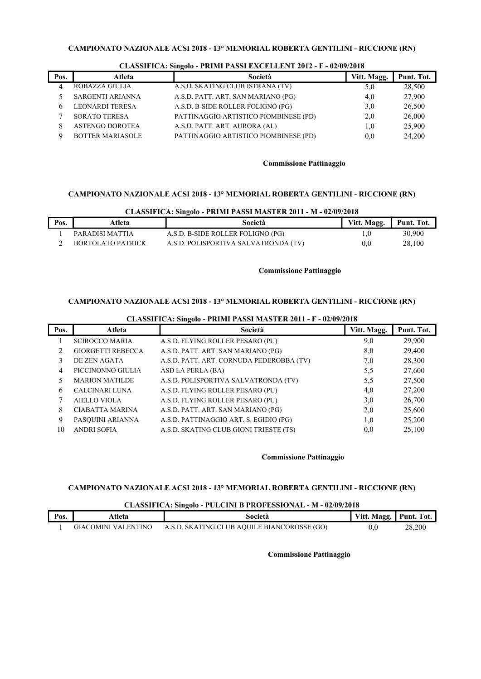| Pos. | Atleta                  | Società                               | Vitt. Magg. | Punt. Tot. |
|------|-------------------------|---------------------------------------|-------------|------------|
|      | ROBAZZA GIULIA          | A.S.D. SKATING CLUB ISTRANA (TV)      | 5,0         | 28,500     |
|      | SARGENTI ARIANNA        | A.S.D. PATT. ART. SAN MARIANO (PG)    | 4,0         | 27,900     |
|      | <b>LEONARDI TERESA</b>  | A.S.D. B-SIDE ROLLER FOLIGNO (PG)     | 3,0         | 26,500     |
|      | <b>SORATO TERESA</b>    | PATTINAGGIO ARTISTICO PIOMBINESE (PD) | 2,0         | 26,000     |
|      | <b>ASTENGO DOROTEA</b>  | A.S.D. PATT. ART. AURORA (AL)         | $_{1.0}$    | 25,900     |
|      | <b>BOTTER MARIASOLE</b> | PATTINAGGIO ARTISTICO PIOMBINESE (PD) | 0,0         | 24,200     |

#### CLASSIFICA: Singolo - PRIMI PASSI EXCELLENT 2012 - F - 02/09/2018

#### Commissione Pattinaggio

# CAMPIONATO NAZIONALE ACSI 2018 - 13° MEMORIAL ROBERTA GENTILINI - RICCIONE (RN)

|      | CLASSIFICA: Singolo - PRIMI PASSI MASTER 2011 - M - 02/09/2018 |                                      |             |            |  |
|------|----------------------------------------------------------------|--------------------------------------|-------------|------------|--|
| Pos. | Atleta                                                         | Società                              | Vitt. Magg. | Punt. Tot. |  |
|      | PARADISI MATTIA                                                | A.S.D. B-SIDE ROLLER FOLIGNO (PG)    | 1.0         | 30.900     |  |
|      | BORTOLATO PATRICK                                              | A.S.D. POLISPORTIVA SALVATRONDA (TV) | 0.0         | 28,100     |  |

#### Commissione Pattinaggio

# CAMPIONATO NAZIONALE ACSI 2018 - 13° MEMORIAL ROBERTA GENTILINI - RICCIONE (RN)

CLASSIFICA: Singolo - PRIMI PASSI MASTER 2011 - F - 02/09/2018

| Pos.           | Atleta                   | Società                                  | Vitt. Magg. | Punt. Tot. |
|----------------|--------------------------|------------------------------------------|-------------|------------|
|                | <b>SCIROCCO MARIA</b>    | A.S.D. FLYING ROLLER PESARO (PU)         | 9,0         | 29,900     |
| $\mathfrak{D}$ | <b>GIORGETTI REBECCA</b> | A.S.D. PATT. ART. SAN MARIANO (PG)       | 8,0         | 29,400     |
| 3              | DE ZEN AGATA             | A.S.D. PATT. ART. CORNUDA PEDEROBBA (TV) | 7,0         | 28,300     |
| 4              | PICCINONNO GIULIA        | ASD LA PERLA (BA)                        | 5,5         | 27,600     |
|                | <b>MARION MATILDE</b>    | A.S.D. POLISPORTIVA SALVATRONDA (TV)     | 5,5         | 27,500     |
| 6              | <b>CALCINARI LUNA</b>    | A.S.D. FLYING ROLLER PESARO (PU)         | 4,0         | 27,200     |
|                | <b>AIELLO VIOLA</b>      | A.S.D. FLYING ROLLER PESARO (PU)         | 3,0         | 26,700     |
| 8              | <b>CIABATTA MARINA</b>   | A.S.D. PATT. ART. SAN MARIANO (PG)       | 2,0         | 25,600     |
| 9              | PASQUINI ARIANNA         | A.S.D. PATTINAGGIO ART. S. EGIDIO (PG)   | 1,0         | 25,200     |
| 10             | <b>ANDRI SOFIA</b>       | A.S.D. SKATING CLUB GIONI TRIESTE (TS)   | 0,0         | 25,100     |

#### Commissione Pattinaggio

## CAMPIONATO NAZIONALE ACSI 2018 - 13° MEMORIAL ROBERTA GENTILINI - RICCIONE (RN)

# CLASSIFICA: Singolo - PULCINI B PROFESSIONAL - M - 02/09/2018

| Pos. | Atleta              | Società                                     | Vitt. Magg. | Punt.<br>Tot. |
|------|---------------------|---------------------------------------------|-------------|---------------|
|      | GIACOMINI VALENTINO | A.S.D. SKATING CLUB AQUILE BIANCOROSSE (GO) |             | 28,200        |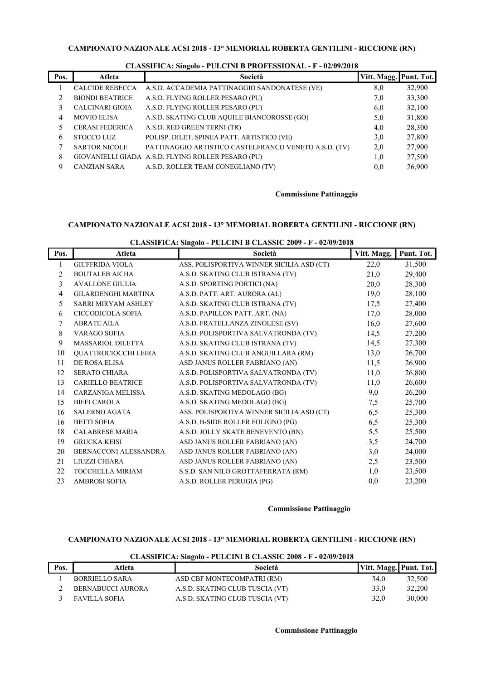| Pos. | Atleta                 | Società                                               | Vitt. Magg. Punt. Tot. |        |
|------|------------------------|-------------------------------------------------------|------------------------|--------|
|      | <b>CALCIDE REBECCA</b> | A.S.D. ACCADEMIA PATTINAGGIO SANDONATESE (VE)         | 8,0                    | 32,900 |
|      | <b>BIONDI BEATRICE</b> | A.S.D. FLYING ROLLER PESARO (PU)                      | 7,0                    | 33,300 |
|      | <b>CALCINARI GIOIA</b> | A.S.D. FLYING ROLLER PESARO (PU)                      | 6,0                    | 32,100 |
| 4    | <b>MOVIO ELISA</b>     | A.S.D. SKATING CLUB AQUILE BIANCOROSSE (GO)           | 5,0                    | 31,800 |
|      | <b>CERASI FEDERICA</b> | A.S.D. RED GREEN TERNI (TR)                           | 4,0                    | 28,300 |
| 6    | STOCCO LUZ             | POLISP. DILET. SPINEA PATT. ARTISTICO (VE)            | 3,0                    | 27,800 |
| 7    | <b>SARTOR NICOLE</b>   | PATTINAGGIO ARTISTICO CASTELFRANCO VENETO A.S.D. (TV) | 2,0                    | 27,900 |
| 8    |                        | GIOVANIELLI GIADA A.S.D. FLYING ROLLER PESARO (PU)    | 1,0                    | 27,500 |
| 9    | <b>CANZIAN SARA</b>    | A.S.D. ROLLER TEAM CONEGLIANO (TV)                    | 0.0                    | 26,900 |

# CLASSIFICA: Singolo - PULCINI B PROFESSIONAL - F - 02/09/2018

# Commissione Pattinaggio

# CAMPIONATO NAZIONALE ACSI 2018 - 13° MEMORIAL ROBERTA GENTILINI - RICCIONE (RN)

| Pos.           | Atleta                     | Società                                   | Vitt. Magg. | Punt. Tot. |
|----------------|----------------------------|-------------------------------------------|-------------|------------|
| 1              | <b>GIUFFRIDA VIOLA</b>     | ASS. POLISPORTIVA WINNER SICILIA ASD (CT) | 22,0        | 31,500     |
| $\overline{2}$ | <b>BOUTALEB AICHA</b>      | A.S.D. SKATING CLUB ISTRANA (TV)          | 21,0        | 29,400     |
| 3              | <b>AVALLONE GIULIA</b>     | A.S.D. SPORTING PORTICI (NA)              | 20,0        | 28,300     |
| $\overline{4}$ | <b>GILARDENGHI MARTINA</b> | A.S.D. PATT. ART. AURORA (AL)             | 19,0        | 28,100     |
| 5              | SARRI MIRYAM ASHLEY        | A.S.D. SKATING CLUB ISTRANA (TV)          | 17,5        | 27,400     |
| 6              | CICCODICOLA SOFIA          | A.S.D. PAPILLON PATT. ART. (NA)           | 17,0        | 28,000     |
| 7              | <b>ABRATE AILA</b>         | A.S.D. FRATELLANZA ZINOLESE (SV)          | 16,0        | 27,600     |
| 8              | <b>VARAGO SOFIA</b>        | A.S.D. POLISPORTIVA SALVATRONDA (TV)      | 14,5        | 27,200     |
| 9              | <b>MASSARIOL DILETTA</b>   | A.S.D. SKATING CLUB ISTRANA (TV)          | 14,5        | 27,300     |
| 10             | QUATTROCIOCCHI LEIRA       | A.S.D. SKATING CLUB ANGUILLARA (RM)       | 13,0        | 26,700     |
| 11             | DE ROSA ELISA              | ASD JANUS ROLLER FABRIANO (AN)            | 11,5        | 26,900     |
| 12             | <b>SERATO CHIARA</b>       | A.S.D. POLISPORTIVA SALVATRONDA (TV)      | 11,0        | 26,800     |
| 13             | <b>CARIELLO BEATRICE</b>   | A.S.D. POLISPORTIVA SALVATRONDA (TV)      | 11,0        | 26,600     |
| 14             | CARZANIGA MELISSA          | A.S.D. SKATING MEDOLAGO (BG)              | 9,0         | 26,200     |
| 15             | <b>BIFFI CAROLA</b>        | A.S.D. SKATING MEDOLAGO (BG)              | 7,5         | 25,700     |
| 16             | <b>SALERNO AGATA</b>       | ASS. POLISPORTIVA WINNER SICILIA ASD (CT) | 6,5         | 25,300     |
| 16             | <b>BETTI SOFIA</b>         | A.S.D. B-SIDE ROLLER FOLIGNO (PG)         | 6,5         | 25,300     |
| 18             | <b>CALABRESE MARIA</b>     | A.S.D. JOLLY SKATE BENEVENTO (BN)         | 5,5         | 25,500     |
| 19             | <b>GRUCKA KEISI</b>        | ASD JANUS ROLLER FABRIANO (AN)            | 3,5         | 24,700     |
| 20             | BERNACCONI ALESSANDRA      | ASD JANUS ROLLER FABRIANO (AN)            | 3,0         | 24,000     |
| 21             | LIUZZI CHIARA              | ASD JANUS ROLLER FABRIANO (AN)            | 2,5         | 23,500     |
| 22             | <b>TOCCHELLA MIRIAM</b>    | S.S.D. SAN NILO GROTTAFERRATA (RM)        | 1,0         | 23,500     |
| 23             | <b>AMBROSI SOFIA</b>       | A.S.D. ROLLER PERUGIA (PG)                | 0,0         | 23,200     |

#### Commissione Pattinaggio

# CAMPIONATO NAZIONALE ACSI 2018 - 13° MEMORIAL ROBERTA GENTILINI - RICCIONE (RN)

|      |                          | CERNOTE TOTAL ORIGINAL TUESCHALD CERNOTE 2000 T. V20072010 |                        |        |
|------|--------------------------|------------------------------------------------------------|------------------------|--------|
| Pos. | Atleta                   | Società                                                    | Vitt. Magg. Punt. Tot. |        |
|      | BORRIELLO SARA           | ASD CBF MONTECOMPATRI (RM)                                 | 34.0                   | 32,500 |
|      | <b>BERNABUCCI AURORA</b> | A.S.D. SKATING CLUB TUSCIA (VT)                            | 33.0                   | 32,200 |
|      | <b>FAVILLA SOFIA</b>     | A.S.D. SKATING CLUB TUSCIA (VT)                            | 32.0                   | 30,000 |

# CLASSIFICA: Singolo - PULCINI B CLASSIC 2008 - F - 02/09/2018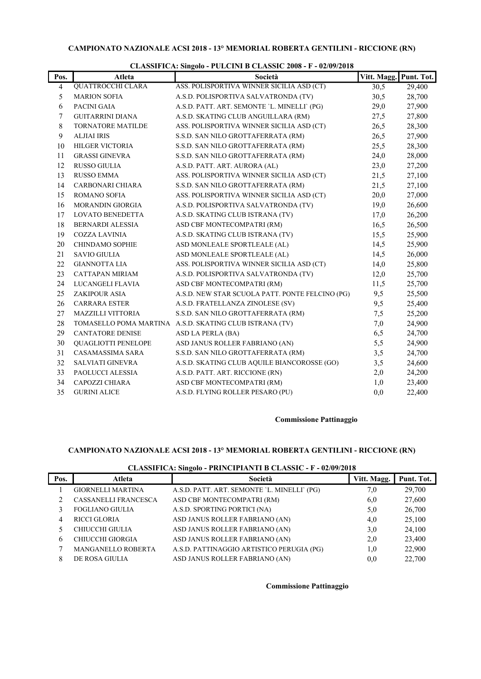| Pos. | Atleta                     | Società                                                 | Vitt. Magg. | Punt. Tot. |
|------|----------------------------|---------------------------------------------------------|-------------|------------|
| 4    | <b>QUATTROCCHI CLARA</b>   | ASS. POLISPORTIVA WINNER SICILIA ASD (CT)               | 30,5        | 29,400     |
| 5    | <b>MARION SOFIA</b>        | A.S.D. POLISPORTIVA SALVATRONDA (TV)                    | 30,5        | 28,700     |
| 6    | PACINI GAIA                | A.S.D. PATT. ART. SEMONTE 'L. MINELLI' (PG)             | 29,0        | 27,900     |
| 7    | <b>GUITARRINI DIANA</b>    | A.S.D. SKATING CLUB ANGUILLARA (RM)                     | 27,5        | 27,800     |
| 8    | <b>TORNATORE MATILDE</b>   | ASS. POLISPORTIVA WINNER SICILIA ASD (CT)               | 26,5        | 28,300     |
| 9    | <b>ALJIAI IRIS</b>         | S.S.D. SAN NILO GROTTAFERRATA (RM)                      | 26,5        | 27,900     |
| 10   | <b>HILGER VICTORIA</b>     | S.S.D. SAN NILO GROTTAFERRATA (RM)                      | 25,5        | 28,300     |
| 11   | <b>GRASSI GINEVRA</b>      | S.S.D. SAN NILO GROTTAFERRATA (RM)                      | 24,0        | 28,000     |
| 12   | <b>RUSSO GIULIA</b>        | A.S.D. PATT. ART. AURORA (AL)                           | 23,0        | 27,200     |
| 13   | <b>RUSSO EMMA</b>          | ASS. POLISPORTIVA WINNER SICILIA ASD (CT)               | 21,5        | 27,100     |
| 14   | CARBONARI CHIARA           | S.S.D. SAN NILO GROTTAFERRATA (RM)                      | 21,5        | 27,100     |
| 15   | ROMANO SOFIA               | ASS. POLISPORTIVA WINNER SICILIA ASD (CT)               | 20,0        | 27,000     |
| 16   | MORANDIN GIORGIA           | A.S.D. POLISPORTIVA SALVATRONDA (TV)                    | 19,0        | 26,600     |
| 17   | <b>LOVATO BENEDETTA</b>    | A.S.D. SKATING CLUB ISTRANA (TV)                        | 17,0        | 26,200     |
| 18   | <b>BERNARDI ALESSIA</b>    | ASD CBF MONTECOMPATRI (RM)                              | 16,5        | 26,500     |
| 19   | <b>COZZA LAVINIA</b>       | A.S.D. SKATING CLUB ISTRANA (TV)                        | 15,5        | 25,900     |
| 20   | CHINDAMO SOPHIE            | ASD MONLEALE SPORTLEALE (AL)                            | 14,5        | 25,900     |
| 21   | <b>SAVIO GIULIA</b>        | ASD MONLEALE SPORTLEALE (AL)                            | 14,5        | 26,000     |
| 22   | <b>GIANNOTTA LIA</b>       | ASS. POLISPORTIVA WINNER SICILIA ASD (CT)               | 14,0        | 25,800     |
| 23   | CATTAPAN MIRIAM            | A.S.D. POLISPORTIVA SALVATRONDA (TV)                    | 12,0        | 25,700     |
| 24   | LUCANGELI FLAVIA           | ASD CBF MONTECOMPATRI (RM)                              | 11,5        | 25,700     |
| 25   | <b>ZAKIPOUR ASIA</b>       | A.S.D. NEW STAR SCUOLA PATT. PONTE FELCINO (PG)         | 9,5         | 25,500     |
| 26   | <b>CARRARA ESTER</b>       | A.S.D. FRATELLANZA ZINOLESE (SV)                        | 9,5         | 25,400     |
| 27   | <b>MAZZILLI VITTORIA</b>   | S.S.D. SAN NILO GROTTAFERRATA (RM)                      | 7,5         | 25,200     |
| 28   |                            | TOMASELLO POMA MARTINA A.S.D. SKATING CLUB ISTRANA (TV) | 7,0         | 24,900     |
| 29   | <b>CANTATORE DENISE</b>    | ASD LA PERLA (BA)                                       | 6,5         | 24,700     |
| 30   | <b>QUAGLIOTTI PENELOPE</b> | ASD JANUS ROLLER FABRIANO (AN)                          | 5,5         | 24,900     |
| 31   | CASAMASSIMA SARA           | S.S.D. SAN NILO GROTTAFERRATA (RM)                      | 3,5         | 24,700     |
| 32   | <b>SALVIATI GINEVRA</b>    | A.S.D. SKATING CLUB AQUILE BIANCOROSSE (GO)             | 3,5         | 24,600     |
| 33   | PAOLUCCI ALESSIA           | A.S.D. PATT. ART. RICCIONE (RN)                         | 2,0         | 24,200     |
| 34   | CAPOZZI CHIARA             | ASD CBF MONTECOMPATRI (RM)                              | 1,0         | 23,400     |
| 35   | <b>GURINI ALICE</b>        | A.S.D. FLYING ROLLER PESARO (PU)                        | 0,0         | 22,400     |

# CLASSIFICA: Singolo - PULCINI B CLASSIC 2008 - F - 02/09/2018

# Commissione Pattinaggio

# CAMPIONATO NAZIONALE ACSI 2018 - 13° MEMORIAL ROBERTA GENTILINI - RICCIONE (RN)

| CLASSIFICA: Singolo - PRINCIPIANTI B CLASSIC - F - 02/09/2018 |  |
|---------------------------------------------------------------|--|
|                                                               |  |

| Pos. | Atleta                    | Società                                     | Vitt. Magg. | Punt. Tot. |
|------|---------------------------|---------------------------------------------|-------------|------------|
|      | <b>GIORNELLI MARTINA</b>  | A.S.D. PATT. ART. SEMONTE 'L. MINELLI' (PG) | 7,0         | 29,700     |
|      | CASSANELLI FRANCESCA      | ASD CBF MONTECOMPATRI (RM)                  | 6,0         | 27,600     |
|      | <b>FOGLIANO GIULIA</b>    | A.S.D. SPORTING PORTICI (NA)                | 5,0         | 26,700     |
| 4    | <b>RICCI GLORIA</b>       | ASD JANUS ROLLER FABRIANO (AN)              | 4,0         | 25,100     |
|      | CHIUCCHI GIULIA           | ASD JANUS ROLLER FABRIANO (AN)              | 3,0         | 24,100     |
| 6    | CHIUCCHI GIORGIA          | ASD JANUS ROLLER FABRIANO (AN)              | 2,0         | 23,400     |
|      | <b>MANGANELLO ROBERTA</b> | A.S.D. PATTINAGGIO ARTISTICO PERUGIA (PG)   | 1.0         | 22,900     |
| 8    | DE ROSA GIULIA            | ASD JANUS ROLLER FABRIANO (AN)              | 0,0         | 22,700     |